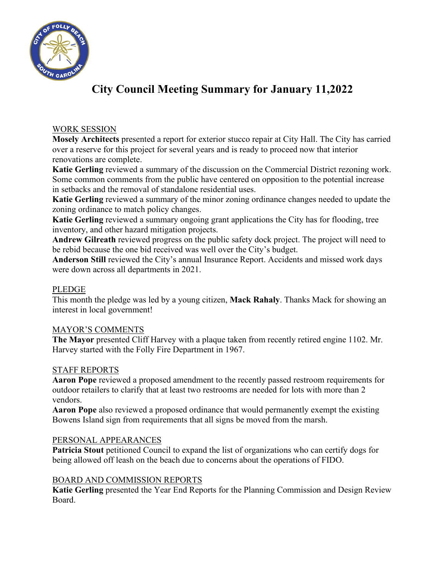

# **City Council Meeting Summary for January 11,2022**

## WORK SESSION

**Mosely Architects** presented a report for exterior stucco repair at City Hall. The City has carried over a reserve for this project for several years and is ready to proceed now that interior renovations are complete.

**Katie Gerling** reviewed a summary of the discussion on the Commercial District rezoning work. Some common comments from the public have centered on opposition to the potential increase in setbacks and the removal of standalone residential uses.

**Katie Gerling** reviewed a summary of the minor zoning ordinance changes needed to update the zoning ordinance to match policy changes.

**Katie Gerling** reviewed a summary ongoing grant applications the City has for flooding, tree inventory, and other hazard mitigation projects.

**Andrew Gilreath** reviewed progress on the public safety dock project. The project will need to be rebid because the one bid received was well over the City's budget.

**Anderson Still** reviewed the City's annual Insurance Report. Accidents and missed work days were down across all departments in 2021.

### PLEDGE

This month the pledge was led by a young citizen, **Mack Rahaly**. Thanks Mack for showing an interest in local government!

#### MAYOR'S COMMENTS

**The Mayor** presented Cliff Harvey with a plaque taken from recently retired engine 1102. Mr. Harvey started with the Folly Fire Department in 1967.

#### STAFF REPORTS

**Aaron Pope** reviewed a proposed amendment to the recently passed restroom requirements for outdoor retailers to clarify that at least two restrooms are needed for lots with more than 2 vendors.

**Aaron Pope** also reviewed a proposed ordinance that would permanently exempt the existing Bowens Island sign from requirements that all signs be moved from the marsh.

#### PERSONAL APPEARANCES

**Patricia Stout** petitioned Council to expand the list of organizations who can certify dogs for being allowed off leash on the beach due to concerns about the operations of FIDO.

#### BOARD AND COMMISSION REPORTS

**Katie Gerling** presented the Year End Reports for the Planning Commission and Design Review Board.